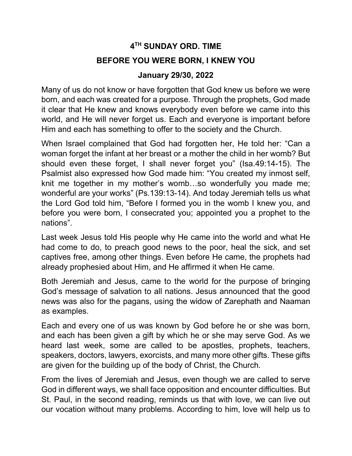## 4 TH SUNDAY ORD. TIME BEFORE YOU WERE BORN, I KNEW YOU

## January 29/30, 2022

Many of us do not know or have forgotten that God knew us before we were born, and each was created for a purpose. Through the prophets, God made it clear that He knew and knows everybody even before we came into this world, and He will never forget us. Each and everyone is important before Him and each has something to offer to the society and the Church.

When Israel complained that God had forgotten her, He told her: "Can a woman forget the infant at her breast or a mother the child in her womb? But should even these forget, I shall never forget you" (Isa.49:14-15). The Psalmist also expressed how God made him: "You created my inmost self, knit me together in my mother's womb…so wonderfully you made me; wonderful are your works" (Ps.139:13-14). And today Jeremiah tells us what the Lord God told him, "Before I formed you in the womb I knew you, and before you were born, I consecrated you; appointed you a prophet to the nations".

Last week Jesus told His people why He came into the world and what He had come to do, to preach good news to the poor, heal the sick, and set captives free, among other things. Even before He came, the prophets had already prophesied about Him, and He affirmed it when He came.

Both Jeremiah and Jesus, came to the world for the purpose of bringing God's message of salvation to all nations. Jesus announced that the good news was also for the pagans, using the widow of Zarephath and Naaman as examples.

Each and every one of us was known by God before he or she was born, and each has been given a gift by which he or she may serve God. As we heard last week, some are called to be apostles, prophets, teachers, speakers, doctors, lawyers, exorcists, and many more other gifts. These gifts are given for the building up of the body of Christ, the Church.

From the lives of Jeremiah and Jesus, even though we are called to serve God in different ways, we shall face opposition and encounter difficulties. But St. Paul, in the second reading, reminds us that with love, we can live out our vocation without many problems. According to him, love will help us to